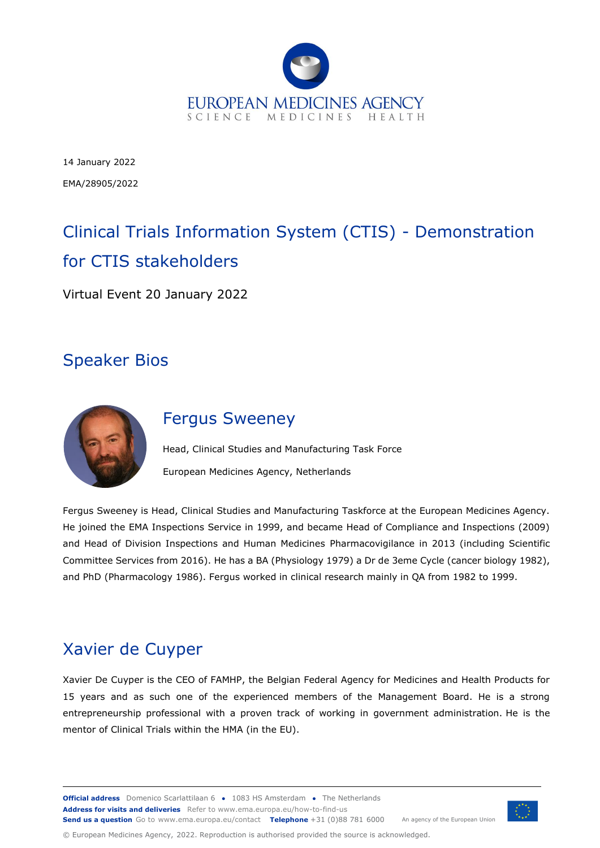

14 January 2022 EMA/28905/2022

# Clinical Trials Information System (CTIS) - Demonstration for CTIS stakeholders

Virtual Event 20 January 2022

## Speaker Bios



### Fergus Sweeney

Head, Clinical Studies and Manufacturing Task Force European Medicines Agency, Netherlands

Fergus Sweeney is Head, Clinical Studies and Manufacturing Taskforce at the European Medicines Agency. He joined the EMA Inspections Service in 1999, and became Head of Compliance and Inspections (2009) and Head of Division Inspections and Human Medicines Pharmacovigilance in 2013 (including Scientific Committee Services from 2016). He has a BA (Physiology 1979) a Dr de 3eme Cycle (cancer biology 1982), and PhD (Pharmacology 1986). Fergus worked in clinical research mainly in QA from 1982 to 1999.

# Xavier de Cuyper

Xavier De Cuyper is the CEO of FAMHP, the Belgian Federal Agency for Medicines and Health Products for 15 years and as such one of the experienced members of the Management Board. He is a strong entrepreneurship professional with a proven track of working in government administration. He is the mentor of Clinical Trials within the HMA (in the EU).

© European Medicines Agency, 2022. Reproduction is authorised provided the source is acknowledged.

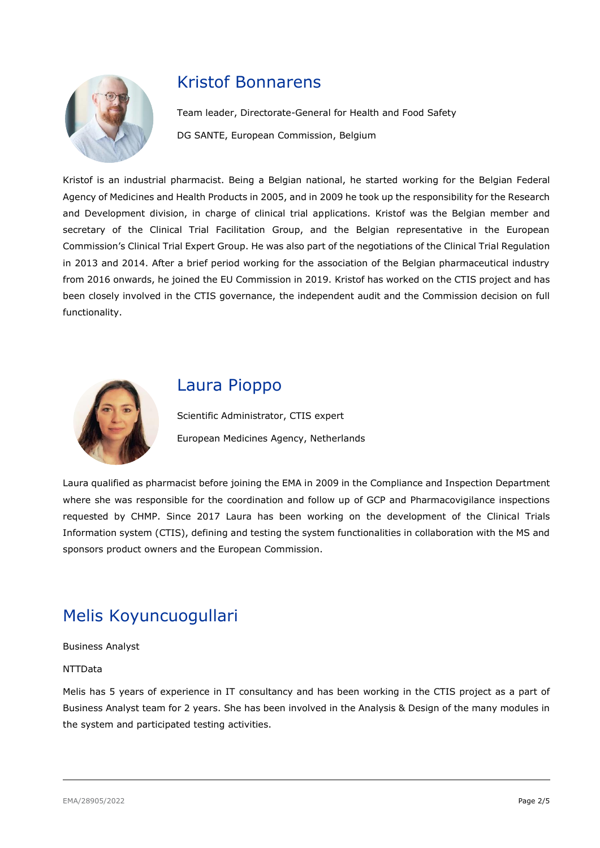

### Kristof Bonnarens

Team leader, Directorate-General for Health and Food Safety DG SANTE, European Commission, Belgium

Kristof is an industrial pharmacist. Being a Belgian national, he started working for the Belgian Federal Agency of Medicines and Health Products in 2005, and in 2009 he took up the responsibility for the Research and Development division, in charge of clinical trial applications. Kristof was the Belgian member and secretary of the Clinical Trial Facilitation Group, and the Belgian representative in the European Commission's Clinical Trial Expert Group. He was also part of the negotiations of the Clinical Trial Regulation in 2013 and 2014. After a brief period working for the association of the Belgian pharmaceutical industry from 2016 onwards, he joined the EU Commission in 2019. Kristof has worked on the CTIS project and has been closely involved in the CTIS governance, the independent audit and the Commission decision on full functionality.



## Laura Pioppo

Scientific Administrator, CTIS expert European Medicines Agency, Netherlands

Laura qualified as pharmacist before joining the EMA in 2009 in the Compliance and Inspection Department where she was responsible for the coordination and follow up of GCP and Pharmacovigilance inspections requested by CHMP. Since 2017 Laura has been working on the development of the Clinical Trials Information system (CTIS), defining and testing the system functionalities in collaboration with the MS and sponsors product owners and the European Commission.

# Melis Koyuncuogullari

Business Analyst

#### NTTData

Melis has 5 years of experience in IT consultancy and has been working in the CTIS project as a part of Business Analyst team for 2 years. She has been involved in the Analysis & Design of the many modules in the system and participated testing activities.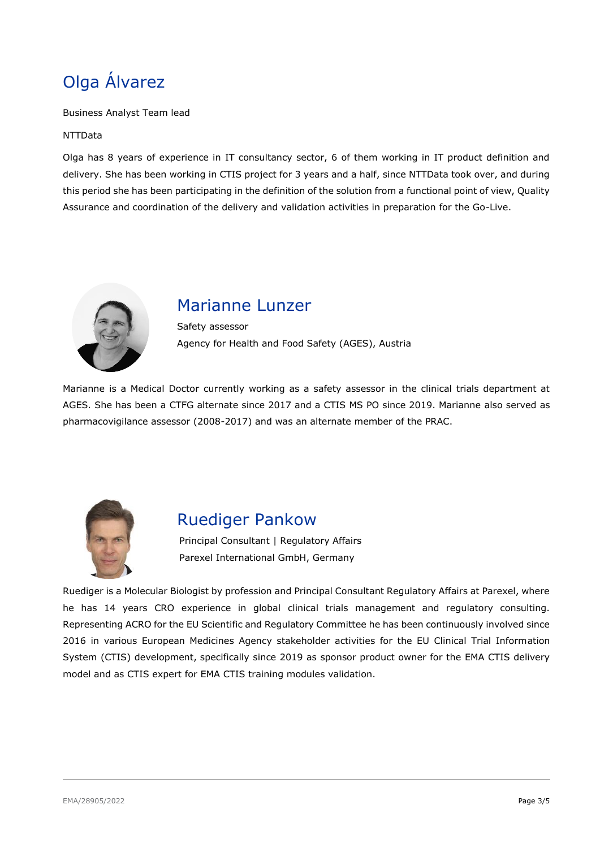# Olga Álvarez

Business Analyst Team lead

#### NTTData

Olga has 8 years of experience in IT consultancy sector, 6 of them working in IT product definition and delivery. She has been working in CTIS project for 3 years and a half, since NTTData took over, and during this period she has been participating in the definition of the solution from a functional point of view, Quality Assurance and coordination of the delivery and validation activities in preparation for the Go-Live.



### Marianne Lunzer

Safety assessor Agency for Health and Food Safety (AGES), Austria

Marianne is a Medical Doctor currently working as a safety assessor in the clinical trials department at AGES. She has been a CTFG alternate since 2017 and a CTIS MS PO since 2019. Marianne also served as pharmacovigilance assessor (2008-2017) and was an alternate member of the PRAC.



### Ruediger Pankow

Principal Consultant | Regulatory Affairs Parexel International GmbH, Germany

Ruediger is a Molecular Biologist by profession and Principal Consultant Regulatory Affairs at Parexel, where he has 14 years CRO experience in global clinical trials management and regulatory consulting. Representing ACRO for the EU Scientific and Regulatory Committee he has been continuously involved since 2016 in various European Medicines Agency stakeholder activities for the EU Clinical Trial Information System (CTIS) development, specifically since 2019 as sponsor product owner for the EMA CTIS delivery model and as CTIS expert for EMA CTIS training modules validation.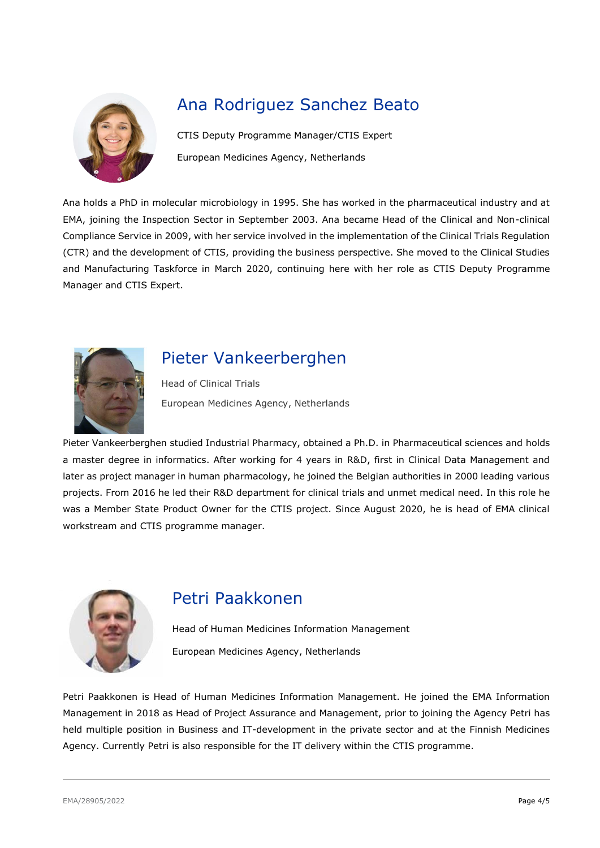

# Ana Rodriguez Sanchez Beato

CTIS Deputy Programme Manager/CTIS Expert European Medicines Agency, Netherlands

Ana holds a PhD in molecular microbiology in 1995. She has worked in the pharmaceutical industry and at EMA, joining the Inspection Sector in September 2003. Ana became Head of the Clinical and Non-clinical Compliance Service in 2009, with her service involved in the implementation of the Clinical Trials Regulation (CTR) and the development of CTIS, providing the business perspective. She moved to the Clinical Studies and Manufacturing Taskforce in March 2020, continuing here with her role as CTIS Deputy Programme Manager and CTIS Expert.



# Pieter Vankeerberghen

Head of Clinical Trials European Medicines Agency, Netherlands

Pieter Vankeerberghen studied Industrial Pharmacy, obtained a Ph.D. in Pharmaceutical sciences and holds a master degree in informatics. After working for 4 years in R&D, first in Clinical Data Management and later as project manager in human pharmacology, he joined the Belgian authorities in 2000 leading various projects. From 2016 he led their R&D department for clinical trials and unmet medical need. In this role he was a Member State Product Owner for the CTIS project. Since August 2020, he is head of EMA clinical workstream and CTIS programme manager.



### Petri Paakkonen

Head of Human Medicines Information Management European Medicines Agency, Netherlands

Petri Paakkonen is Head of Human Medicines Information Management. He joined the EMA Information Management in 2018 as Head of Project Assurance and Management, prior to joining the Agency Petri has held multiple position in Business and IT-development in the private sector and at the Finnish Medicines Agency. Currently Petri is also responsible for the IT delivery within the CTIS programme.